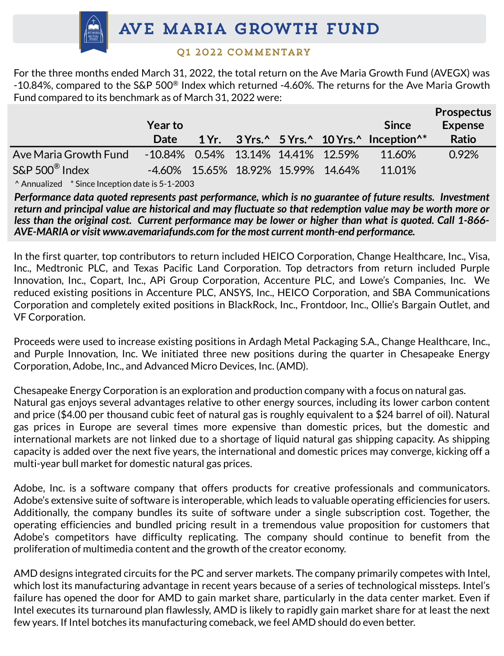

## 01 2022 COMMENTARY

For the three months ended March 31, 2022, the total return on the Ave Maria Growth Fund (AVEGX) was -10.84%, compared to the S&P 500® Index which returned -4.60%. The returns for the Ave Maria Growth Fund compared to its benchmark as of March 31, 2022 were:

|                          | <b>Year to</b>                        |  |  |  |                                    | <b>Since</b>                                           | <b>Prospectus</b><br><b>Expense</b> |
|--------------------------|---------------------------------------|--|--|--|------------------------------------|--------------------------------------------------------|-------------------------------------|
|                          | Date                                  |  |  |  |                                    | 1 Yr. 3 Yrs. 5 Yrs. 10 Yrs. 10 Freeption <sup>**</sup> | <b>Ratio</b>                        |
| Ave Maria Growth Fund    | $-10.84\%$ 0.54% 13.14% 14.41% 12.59% |  |  |  |                                    | 11.60%                                                 | 0.92%                               |
| $S\&P 500^{\circ}$ Index |                                       |  |  |  | -4.60% 15.65% 18.92% 15.99% 14.64% | 11.01%                                                 |                                     |
|                          |                                       |  |  |  |                                    |                                                        |                                     |

^ Annualized \* Since Inception date is 5-1-2003

*Performance data quoted represents past performance, which is no guarantee of future results. Investment* return and principal value are historical and may fluctuate so that redemption value may be worth more or less than the original cost. Current performance may be lower or higher than what is quoted. Call 1-866-*AVE-MARIA or visit www.avemariafunds.com for the most current month-end performance.*

In the first quarter, top contributors to return included HEICO Corporation, Change Healthcare, Inc., Visa, Inc., Medtronic PLC, and Texas Pacific Land Corporation. Top detractors from return included Purple Innovation, Inc., Copart, Inc., APi Group Corporation, Accenture PLC, and Lowe's Companies, Inc. We reduced existing positions in Accenture PLC, ANSYS, Inc., HEICO Corporation, and SBA Communications Corporation and completely exited positions in BlackRock, Inc., Frontdoor, Inc., Ollie's Bargain Outlet, and VF Corporation.

Proceeds were used to increase existing positions in Ardagh Metal Packaging S.A., Change Healthcare, Inc., and Purple Innovation, Inc. We initiated three new positions during the quarter in Chesapeake Energy Corporation, Adobe, Inc., and Advanced Micro Devices, Inc. (AMD).

Chesapeake Energy Corporation is an exploration and production company with a focus on natural gas. Natural gas enjoys several advantages relative to other energy sources, including its lower carbon content and price (\$4.00 per thousand cubic feet of natural gas is roughly equivalent to a \$24 barrel of oil). Natural gas prices in Europe are several times more expensive than domestic prices, but the domestic and international markets are not linked due to a shortage of liquid natural gas shipping capacity. As shipping capacity is added over the next five years, the international and domestic prices may converge, kicking off a multi-year bull market for domestic natural gas prices.

Adobe, Inc. is a software company that offers products for creative professionals and communicators. Adobe's extensive suite of software is interoperable, which leads to valuable operating efficiencies for users. Additionally, the company bundles its suite of software under a single subscription cost. Together, the operating efficiencies and bundled pricing result in a tremendous value proposition for customers that Adobe's competitors have difficulty replicating. The company should continue to benefit from the proliferation of multimedia content and the growth of the creator economy.

AMD designs integrated circuits for the PC and server markets. The company primarily competes with Intel, which lost its manufacturing advantage in recent years because of a series of technological missteps. Intel's failure has opened the door for AMD to gain market share, particularly in the data center market. Even if Intel executes its turnaround plan flawlessly, AMD is likely to rapidly gain market share for at least the next few years. If Intel botches its manufacturing comeback, we feel AMD should do even better.